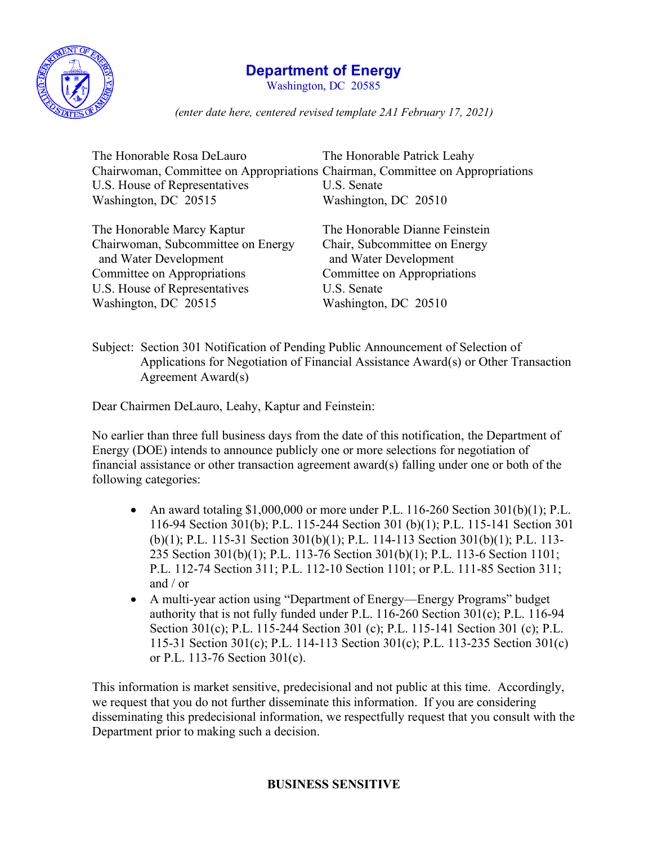

## **Department of Energy**

Washington, DC 20585

*(enter date here, centered revised template 2A1 February 17, 2021)*

| The Honorable Rosa DeLauro                                                    | The Honorable Patrick Leahy                            |
|-------------------------------------------------------------------------------|--------------------------------------------------------|
| Chairwoman, Committee on Appropriations Chairman, Committee on Appropriations |                                                        |
| U.S. House of Representatives                                                 | U.S. Senate                                            |
| Washington, DC 20515                                                          | Washington, DC 20510                                   |
| The Honorable Marcy Kaptur                                                    | The Honorable Dianne Feinstein                         |
| Chairwoman, Subcommittee on Energy<br>and Water Development                   | Chair, Subcommittee on Energy<br>and Water Development |
| Committee on Appropriations                                                   | Committee on Appropriations                            |
| U.S. House of Representatives                                                 | U.S. Senate                                            |
| Washington, DC 20515                                                          | Washington, DC 20510                                   |

Subject: Section 301 Notification of Pending Public Announcement of Selection of Applications for Negotiation of Financial Assistance Award(s) or Other Transaction Agreement Award(s)

Dear Chairmen DeLauro, Leahy, Kaptur and Feinstein:

No earlier than three full business days from the date of this notification, the Department of Energy (DOE) intends to announce publicly one or more selections for negotiation of financial assistance or other transaction agreement award(s) falling under one or both of the following categories:

- An award totaling \$1,000,000 or more under P.L. 116-260 Section 301(b)(1); P.L. 116-94 Section 301(b); P.L. 115-244 Section 301 (b)(1); P.L. 115-141 Section 301 (b)(1); P.L. 115-31 Section 301(b)(1); P.L. 114-113 Section 301(b)(1); P.L. 113- 235 Section 301(b)(1); P.L. 113-76 Section 301(b)(1); P.L. 113-6 Section 1101; P.L. 112-74 Section 311; P.L. 112-10 Section 1101; or P.L. 111-85 Section 311; and / or
- A multi-year action using "Department of Energy—Energy Programs" budget authority that is not fully funded under P.L. 116-260 Section 301(c); P.L. 116-94 Section 301(c); P.L. 115-244 Section 301 (c); P.L. 115-141 Section 301 (c); P.L. 115-31 Section 301(c); P.L. 114-113 Section 301(c); P.L. 113-235 Section 301(c) or P.L. 113-76 Section 301(c).

This information is market sensitive, predecisional and not public at this time. Accordingly, we request that you do not further disseminate this information. If you are considering disseminating this predecisional information, we respectfully request that you consult with the Department prior to making such a decision.

## **BUSINESS SENSITIVE**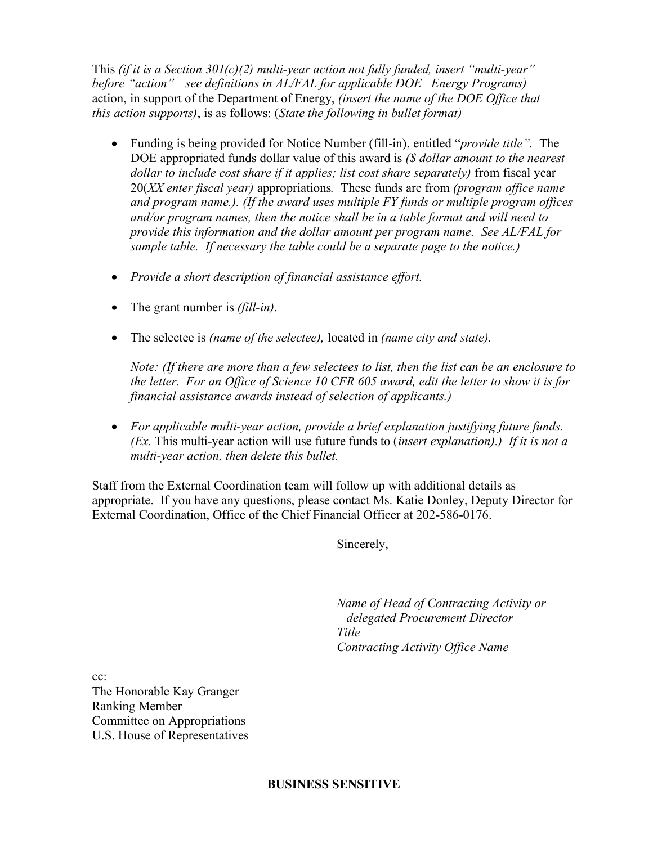This *(if it is a Section 301(c)(2) multi-year action not fully funded, insert "multi-year" before "action"—see definitions in AL/FAL for applicable DOE –Energy Programs)* action, in support of the Department of Energy, *(insert the name of the DOE Office that this action supports)*, is as follows: (*State the following in bullet format)*

- Funding is being provided for Notice Number (fill-in), entitled "*provide title".* The DOE appropriated funds dollar value of this award is *(\$ dollar amount to the nearest dollar to include cost share if it applies; list cost share separately)* from fiscal year 20(*XX enter fiscal year)* appropriations*.* These funds are from *(program office name and program name.). (If the award uses multiple FY funds or multiple program offices and/or program names, then the notice shall be in a table format and will need to provide this information and the dollar amount per program name. See AL/FAL for sample table. If necessary the table could be a separate page to the notice.)*
- *Provide a short description of financial assistance effort.*
- The grant number is *(fill-in)*.
- The selectee is *(name of the selectee),* located in *(name city and state).*

*Note: (If there are more than a few selectees to list, then the list can be an enclosure to the letter. For an Office of Science 10 CFR 605 award, edit the letter to show it is for financial assistance awards instead of selection of applicants.)*

• *For applicable multi-year action, provide a brief explanation justifying future funds. (Ex.* This multi-year action will use future funds to (*insert explanation).) If it is not a multi-year action, then delete this bullet.*

Staff from the External Coordination team will follow up with additional details as appropriate. If you have any questions, please contact Ms. Katie Donley, Deputy Director for External Coordination, Office of the Chief Financial Officer at 202-586-0176.

Sincerely,

*Name of Head of Contracting Activity or delegated Procurement Director Title Contracting Activity Office Name*

cc: The Honorable Kay Granger Ranking Member Committee on Appropriations U.S. House of Representatives

## **BUSINESS SENSITIVE**